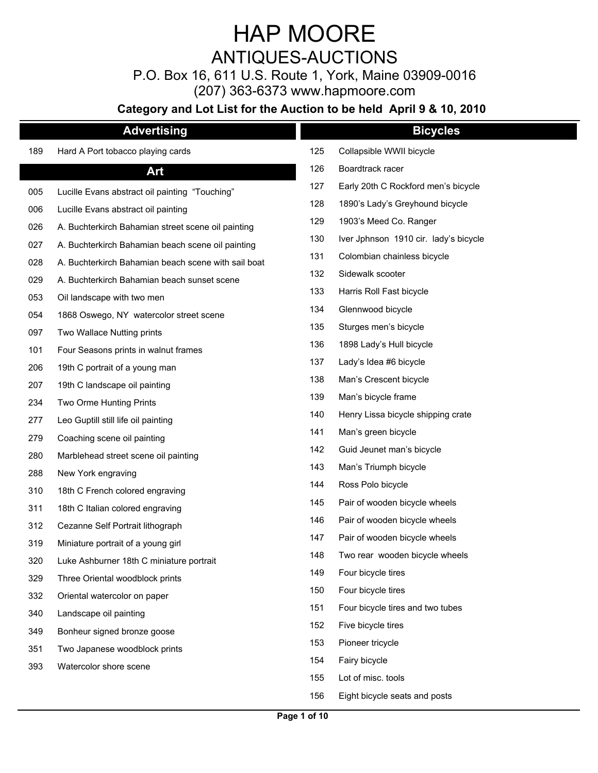ANTIQUES-AUCTIONS

P.O. Box 16, 611 U.S. Route 1, York, Maine 03909-0016

(207) 363-6373 www.hapmoore.com

|     | <b>Advertising</b>                                  |     | <b>Bicycles</b>                       |
|-----|-----------------------------------------------------|-----|---------------------------------------|
| 189 | Hard A Port tobacco playing cards                   | 125 | Collapsible WWII bicycle              |
|     | Art                                                 | 126 | Boardtrack racer                      |
| 005 | Lucille Evans abstract oil painting "Touching"      | 127 | Early 20th C Rockford men's bicycle   |
| 006 | Lucille Evans abstract oil painting                 | 128 | 1890's Lady's Greyhound bicycle       |
| 026 | A. Buchterkirch Bahamian street scene oil painting  | 129 | 1903's Meed Co. Ranger                |
| 027 | A. Buchterkirch Bahamian beach scene oil painting   | 130 | Iver Jphnson 1910 cir. lady's bicycle |
| 028 | A. Buchterkirch Bahamian beach scene with sail boat | 131 | Colombian chainless bicycle           |
| 029 | A. Buchterkirch Bahamian beach sunset scene         | 132 | Sidewalk scooter                      |
| 053 | Oil landscape with two men                          | 133 | Harris Roll Fast bicycle              |
| 054 | 1868 Oswego, NY watercolor street scene             | 134 | Glennwood bicycle                     |
| 097 | Two Wallace Nutting prints                          | 135 | Sturges men's bicycle                 |
| 101 | Four Seasons prints in walnut frames                | 136 | 1898 Lady's Hull bicycle              |
| 206 | 19th C portrait of a young man                      | 137 | Lady's Idea #6 bicycle                |
| 207 | 19th C landscape oil painting                       | 138 | Man's Crescent bicycle                |
| 234 | Two Orme Hunting Prints                             | 139 | Man's bicycle frame                   |
| 277 | Leo Guptill still life oil painting                 | 140 | Henry Lissa bicycle shipping crate    |
| 279 | Coaching scene oil painting                         | 141 | Man's green bicycle                   |
| 280 | Marblehead street scene oil painting                | 142 | Guid Jeunet man's bicycle             |
| 288 | New York engraving                                  | 143 | Man's Triumph bicycle                 |
| 310 | 18th C French colored engraving                     | 144 | Ross Polo bicycle                     |
| 311 | 18th C Italian colored engraving                    | 145 | Pair of wooden bicycle wheels         |
| 312 | Cezanne Self Portrait lithograph                    | 146 | Pair of wooden bicycle wheels         |
| 319 | Miniature portrait of a young girl                  | 147 | Pair of wooden bicycle wheels         |
| 320 | Luke Ashburner 18th C miniature portrait            | 148 | Two rear wooden bicycle wheels        |
| 329 | Three Oriental woodblock prints                     | 149 | Four bicycle tires                    |
| 332 | Oriental watercolor on paper                        | 150 | Four bicycle tires                    |
| 340 | Landscape oil painting                              | 151 | Four bicycle tires and two tubes      |
| 349 | Bonheur signed bronze goose                         | 152 | Five bicycle tires                    |
| 351 | Two Japanese woodblock prints                       | 153 | Pioneer tricycle                      |
| 393 | Watercolor shore scene                              | 154 | Fairy bicycle                         |
|     |                                                     | 155 | Lot of misc. tools                    |
|     |                                                     | 156 | Eight bicycle seats and posts         |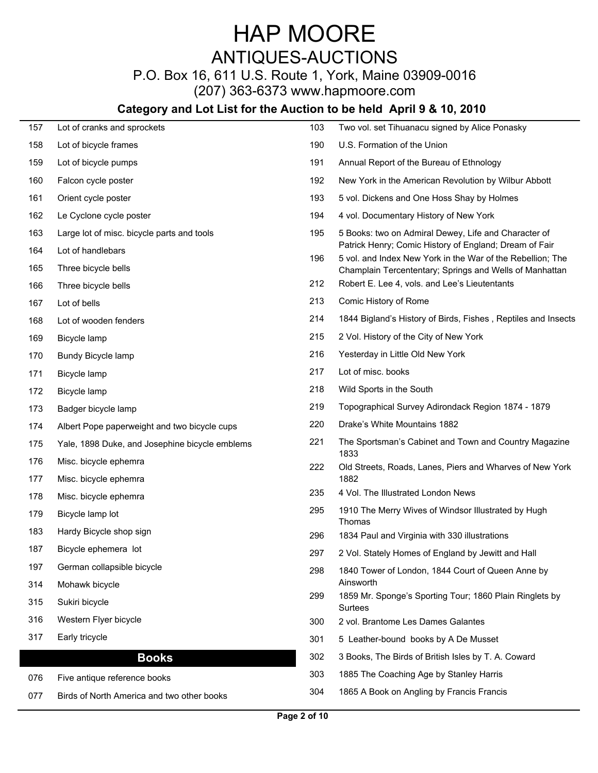## ANTIQUES-AUCTIONS

## P.O. Box 16, 611 U.S. Route 1, York, Maine 03909-0016

(207) 363-6373 www.hapmoore.com

| 157        | Lot of cranks and sprockets                    | 103 | Two vol. set Tihuanacu signed by Alice Ponasky                                                                        |
|------------|------------------------------------------------|-----|-----------------------------------------------------------------------------------------------------------------------|
| 158        | Lot of bicycle frames                          | 190 | U.S. Formation of the Union                                                                                           |
| 159        | Lot of bicycle pumps                           | 191 | Annual Report of the Bureau of Ethnology                                                                              |
| 160        | Falcon cycle poster                            | 192 | New York in the American Revolution by Wilbur Abbott                                                                  |
| 161        | Orient cycle poster                            | 193 | 5 vol. Dickens and One Hoss Shay by Holmes                                                                            |
| 162        | Le Cyclone cycle poster                        | 194 | 4 vol. Documentary History of New York                                                                                |
| 163        | Large lot of misc. bicycle parts and tools     | 195 | 5 Books: two on Admiral Dewey, Life and Character of<br>Patrick Henry; Comic History of England; Dream of Fair        |
| 164<br>165 | Lot of handlebars<br>Three bicycle bells       | 196 | 5 vol. and Index New York in the War of the Rebellion; The<br>Champlain Tercententary; Springs and Wells of Manhattan |
| 166        | Three bicycle bells                            | 212 | Robert E. Lee 4, vols. and Lee's Lieutentants                                                                         |
| 167        | Lot of bells                                   | 213 | Comic History of Rome                                                                                                 |
| 168        | Lot of wooden fenders                          | 214 | 1844 Bigland's History of Birds, Fishes, Reptiles and Insects                                                         |
| 169        | Bicycle lamp                                   | 215 | 2 Vol. History of the City of New York                                                                                |
| 170        | Bundy Bicycle lamp                             | 216 | Yesterday in Little Old New York                                                                                      |
| 171        | Bicycle lamp                                   | 217 | Lot of misc. books                                                                                                    |
| 172        | Bicycle lamp                                   | 218 | Wild Sports in the South                                                                                              |
| 173        | Badger bicycle lamp                            | 219 | Topographical Survey Adirondack Region 1874 - 1879                                                                    |
| 174        | Albert Pope paperweight and two bicycle cups   | 220 | Drake's White Mountains 1882                                                                                          |
| 175        | Yale, 1898 Duke, and Josephine bicycle emblems | 221 | The Sportsman's Cabinet and Town and Country Magazine<br>1833                                                         |
| 176        | Misc. bicycle ephemra                          | 222 | Old Streets, Roads, Lanes, Piers and Wharves of New York                                                              |
| 177        | Misc. bicycle ephemra                          |     | 1882                                                                                                                  |
| 178        | Misc. bicycle ephemra                          | 235 | 4 Vol. The Illustrated London News                                                                                    |
| 179        | Bicycle lamp lot                               | 295 | 1910 The Merry Wives of Windsor Illustrated by Hugh<br>Thomas                                                         |
| 183        | Hardy Bicycle shop sign                        | 296 | 1834 Paul and Virginia with 330 illustrations                                                                         |
| 187        | Bicycle ephemera lot                           | 297 | 2 Vol. Stately Homes of England by Jewitt and Hall                                                                    |
| 197        | German collapsible bicycle                     | 298 | 1840 Tower of London, 1844 Court of Queen Anne by                                                                     |
| 314        | Mohawk bicycle                                 |     | Ainsworth                                                                                                             |
| 315        | Sukiri bicycle                                 | 299 | 1859 Mr. Sponge's Sporting Tour; 1860 Plain Ringlets by<br>Surtees                                                    |
| 316        | Western Flyer bicycle                          | 300 | 2 vol. Brantome Les Dames Galantes                                                                                    |
| 317        | Early tricycle                                 | 301 | 5 Leather-bound books by A De Musset                                                                                  |
|            | <b>Books</b>                                   | 302 | 3 Books, The Birds of British Isles by T. A. Coward                                                                   |
| 076        | Five antique reference books                   | 303 | 1885 The Coaching Age by Stanley Harris                                                                               |
| 077        | Birds of North America and two other books     | 304 | 1865 A Book on Angling by Francis Francis                                                                             |
|            |                                                |     |                                                                                                                       |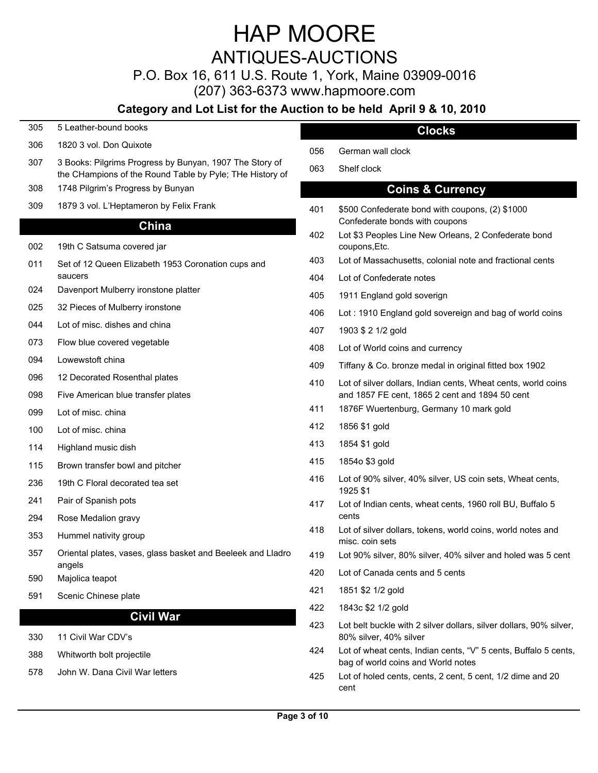## ANTIQUES-AUCTIONS

P.O. Box 16, 611 U.S. Route 1, York, Maine 03909-0016

(207) 363-6373 www.hapmoore.com

## **Category and Lot List for the Auction to be held April 9 & 10, 2010**

- 305 5 Leather-bound books
- 306 1820 3 vol. Don Quixote 122.000 1820 1820 306 1820 306 1820 306 1820 306 1820 306 182.000 182.000 182.000
- 307 3 Books: Pilgrims Progress by Bunyan, 1907 The Story of Congress of Sholf clock the CHampions of the Round Table by Pyle; THe History of
- 308 1748 Pilgrim's Progress by Bunyan
- 

#### **China**

- 002 19th C Satsuma covered jar
- 011 Set of 12 Queen Elizabeth 1953 Coronation cups and the correspondence of the set of the and inactional cents saucers
- 024 Davenport Mulberry ironstone platter 122.000 Marsh 205
- 
- 044 Lot of misc. dishes and china 122.000 and 202.000 and 202.000 and 202.000 and 202.000 and 202.000 and 202.000 and 202.000 and 202.000 and 202.000 and 202.000 and 202.000 and 202.000 and 202.000 and 202.000 and 202.000
- 073 Flow blue covered vegetable 122.000 Flow blue covered vegetable
- 
- 
- 
- 
- 100 Lot of misc. china 122 and 122.000 and 122.000 and 122.000 and 122.000 and 122.000 and 122.000 and 122.000 and 122.000 and 122.000 and 122.000 and 122.000 and 122.000 and 122.000 and 122.000 and 122.000 and 122.000 and
- 114 Highland music dish 122.000 and 122.000 and 122.000 and 122.000 and 122.000 and 122.000 and 122.000 and 12
- 115 Brown transfer bowl and pitcher 122.000 metals of the 1215 1854 of 1854 of 122.000 metals of the 122.000 metals of the 122.000 metals of the 122.000 metals of the 122.000 metals of the 122.000 metals of the 122.000 met
- 236 19th C Floral decorated tea set 122.000 19th C Floral decorated tea set
- 
- 294 Rose Medalion gravy
- 353 Hummel nativity group 122.000 and 122.000 and 123.000 and 122.000 and 122.000 and 122.000 and 122.000 and 1
- Oriental plates, vases, glass basket and Beeleek and Lladro angels 357 Oriental plates, vases, glass basket and Beeleek and Lladro 419 Lot 90% silver, 80% silver, 40% silver and holed was 5 cent
- 590 Majolica teapot 122.000 million and the contract of the contract of the contract of the contract of the contract of the contract of the contract of the contract of the contract of the contract of the contract of the co
- 591 Scenic Chinese plate 122.000 122.000 122.000 122.000 122.000 122.000 122.000 122.000 122.000 122.000 122.000 12

#### **Civil War**

- 
- 
- 

### **Clocks**

- 056 German wall clock 122.000 and 122.000 and 122.000 and 122.000 and 122.000 and 122.000 and 122.000 and 122.000 and 122.000 and 122.000 and 122.000 and 122.000 and 122.000 and 122.000 and 122.000 and 122.000 and 122.000
- 063 Shelf clock 122.000 Shelf clock

### **Coins & Currency**

- 309 1879 3 vol. L'Heptameron by Felix Frank 122.00 Processes and the state of the S500 Confederate bond with coupons, (2) \$1000 Confederate bonds with coupons
	- 402 Lot \$3 Peoples Line New Orleans, 2 Confederate bond coupons,Etc.
	- 403 Lot of Massachusetts, colonial note and fractional cents
	- 404 Lot of Confederate notes
	- 1911 England gold soverign
- 025 32 Pieces of Mulberry ironstone 122.000 million and bag of world coins 122.000 million and bag of world coins
	- 407 1903 \$ 2 1/2 gold 122.000 and 122.000 and 122.000 and 122.000 and 122.000 and 122.000 and 122.000 and 122.
	- Lot of World coins and currency
- 094 Lowewstoft china 122.000 and 122.000 to the 122.000 of the 122.000 of Tiffany & Co. bronze medal in original fitted box 1902
- 096 12 Decorated Rosenthal plates and the state of silver dollars, Indian cents, Wheat cents, world coins 098 Five American blue transfer plates 122.00 Terminal content and 1857 FE cent, 1865 2 cent and 1894 50 cent
- 099 Lot of misc. china **122.000 CM 202.000 Lot of misc.** china the mark gold state of mark gold and the mark gold
	- 412 1856 \$1 gold 122.000 and 122.000 and 122.000 and 122.000 and 122.000 and 122.000 and 122.000 and 122.000 a
	- 413 1854 \$1 gold 122.000 and 122.000 and 122.000 and 122.000 and 122.000 and 122.000 and 122.000 and 122.000 a
	- 415 1854o \$3 gold 122.000 and 122.000 and 122.000 and 122.000 and 122.000 and 122.000 and 122.000 and 122.000
	- 416 Lot of 90% silver, 40% silver, US coin sets, Wheat cents, 1925 \$1
- 241 Pair of Spanish pots **122.000 Pair of Spanish pots** 122.000 pots 122.000 and 122.000 and 122.000 pots 122.000 pot cents
	- 418 Lot of silver dollars, tokens, world coins, world notes and misc. coin sets
	-
	- 420 Lot of Canada cents and 5 cents
	- 421 1851 \$2 1/2 gold 122.000 and 122.000 and 122.000 and 122.000 and 122.000 and 122.000 and 122.000 and 122.0
	- 422 1843c \$2 1/2 gold 122.000 and 122.000 and 122.000 and 122.000 and 122.000 and 122.000 and 122.000 and 122.
- 330 11 Civil War CDV's 122.00 Products and the series of the series of the series of the series of the series o 423 Lot belt buckle with 2 silver dollars, silver dollars, 90% silver,
- 388 Whitworth bolt projectile 122.000 million wheat cents, Indian cents, "V" 5 cents, Buffalo 5 cents, 1224 Lot of wheat cents, Indian cents, "V" 5 cents, Buffalo 5 cents, bag of world coins and World notes
- 578 John W. Dana Civil War letters **122.000 Lot of holed cents, cents, 2 cent**, 5 cent, 1/2 dime and 20 cent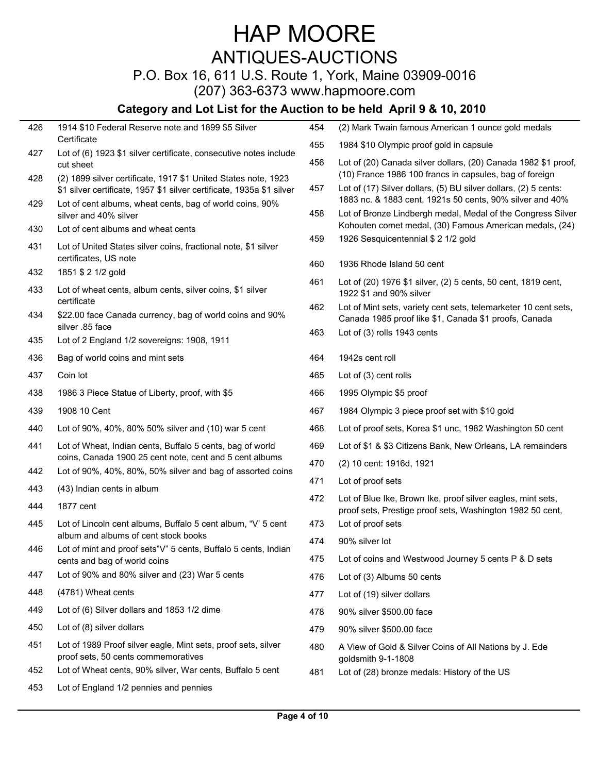## ANTIQUES-AUCTIONS

## P.O. Box 16, 611 U.S. Route 1, York, Maine 03909-0016

(207) 363-6373 www.hapmoore.com

| 426 | 1914 \$10 Federal Reserve note and 1899 \$5 Silver                                                                    | 454 | (2) Mark Twain famous American 1 ounce gold medals                                                                          |
|-----|-----------------------------------------------------------------------------------------------------------------------|-----|-----------------------------------------------------------------------------------------------------------------------------|
|     | Certificate                                                                                                           | 455 | 1984 \$10 Olympic proof gold in capsule                                                                                     |
| 427 | Lot of (6) 1923 \$1 silver certificate, consecutive notes include<br>cut sheet                                        | 456 | Lot of (20) Canada silver dollars, (20) Canada 1982 \$1 proof,                                                              |
| 428 | (2) 1899 silver certificate, 1917 \$1 United States note, 1923                                                        |     | (10) France 1986 100 francs in capsules, bag of foreign                                                                     |
|     | \$1 silver certificate, 1957 \$1 silver certificate, 1935a \$1 silver                                                 | 457 | Lot of (17) Silver dollars, (5) BU silver dollars, (2) 5 cents:<br>1883 nc. & 1883 cent, 1921s 50 cents, 90% silver and 40% |
| 429 | Lot of cent albums, wheat cents, bag of world coins, 90%<br>silver and 40% silver                                     | 458 | Lot of Bronze Lindbergh medal, Medal of the Congress Silver                                                                 |
| 430 | Lot of cent albums and wheat cents                                                                                    |     | Kohouten comet medal, (30) Famous American medals, (24)                                                                     |
| 431 | Lot of United States silver coins, fractional note, \$1 silver                                                        | 459 | 1926 Sesquicentennial \$ 2 1/2 gold                                                                                         |
|     | certificates, US note                                                                                                 | 460 | 1936 Rhode Island 50 cent                                                                                                   |
| 432 | 1851 \$ 2 1/2 gold                                                                                                    | 461 | Lot of (20) 1976 \$1 silver, (2) 5 cents, 50 cent, 1819 cent,                                                               |
| 433 | Lot of wheat cents, album cents, silver coins, \$1 silver<br>certificate                                              |     | 1922 \$1 and 90% silver                                                                                                     |
| 434 | \$22.00 face Canada currency, bag of world coins and 90%                                                              | 462 | Lot of Mint sets, variety cent sets, telemarketer 10 cent sets,<br>Canada 1985 proof like \$1, Canada \$1 proofs, Canada    |
|     | silver .85 face                                                                                                       |     | Lot of (3) rolls 1943 cents                                                                                                 |
| 435 | Lot of 2 England 1/2 sovereigns: 1908, 1911                                                                           | 463 |                                                                                                                             |
| 436 | Bag of world coins and mint sets                                                                                      | 464 | 1942s cent roll                                                                                                             |
| 437 | Coin lot                                                                                                              | 465 | Lot of (3) cent rolls                                                                                                       |
| 438 | 1986 3 Piece Statue of Liberty, proof, with \$5                                                                       | 466 | 1995 Olympic \$5 proof                                                                                                      |
| 439 | 1908 10 Cent                                                                                                          | 467 | 1984 Olympic 3 piece proof set with \$10 gold                                                                               |
| 440 | Lot of 90%, 40%, 80% 50% silver and (10) war 5 cent                                                                   | 468 | Lot of proof sets, Korea \$1 unc, 1982 Washington 50 cent                                                                   |
| 441 | Lot of Wheat, Indian cents, Buffalo 5 cents, bag of world                                                             | 469 | Lot of \$1 & \$3 Citizens Bank, New Orleans, LA remainders                                                                  |
| 442 | coins, Canada 1900 25 cent note, cent and 5 cent albums<br>Lot of 90%, 40%, 80%, 50% silver and bag of assorted coins | 470 | (2) 10 cent: 1916d, 1921                                                                                                    |
| 443 | (43) Indian cents in album                                                                                            | 471 | Lot of proof sets                                                                                                           |
| 444 | 1877 cent                                                                                                             | 472 | Lot of Blue Ike, Brown Ike, proof silver eagles, mint sets,                                                                 |
| 445 | Lot of Lincoln cent albums, Buffalo 5 cent album, "V' 5 cent                                                          | 473 | proof sets, Prestige proof sets, Washington 1982 50 cent,<br>Lot of proof sets                                              |
|     | album and albums of cent stock books                                                                                  | 474 | 90% silver lot                                                                                                              |
| 446 | Lot of mint and proof sets"V" 5 cents, Buffalo 5 cents, Indian                                                        | 475 | Lot of coins and Westwood Journey 5 cents P & D sets                                                                        |
| 447 | cents and bag of world coins<br>Lot of 90% and 80% silver and (23) War 5 cents                                        | 476 | Lot of (3) Albums 50 cents                                                                                                  |
| 448 | (4781) Wheat cents                                                                                                    | 477 | Lot of (19) silver dollars                                                                                                  |
| 449 | Lot of (6) Silver dollars and 1853 1/2 dime                                                                           | 478 | 90% silver \$500.00 face                                                                                                    |
| 450 | Lot of (8) silver dollars                                                                                             | 479 | 90% silver \$500.00 face                                                                                                    |
| 451 | Lot of 1989 Proof silver eagle, Mint sets, proof sets, silver                                                         |     |                                                                                                                             |
|     | proof sets, 50 cents commemoratives                                                                                   | 480 | A View of Gold & Silver Coins of All Nations by J. Ede<br>goldsmith 9-1-1808                                                |
| 452 | Lot of Wheat cents, 90% silver, War cents, Buffalo 5 cent                                                             | 481 | Lot of (28) bronze medals: History of the US                                                                                |
| 453 | Lot of England 1/2 pennies and pennies                                                                                |     |                                                                                                                             |
|     |                                                                                                                       |     |                                                                                                                             |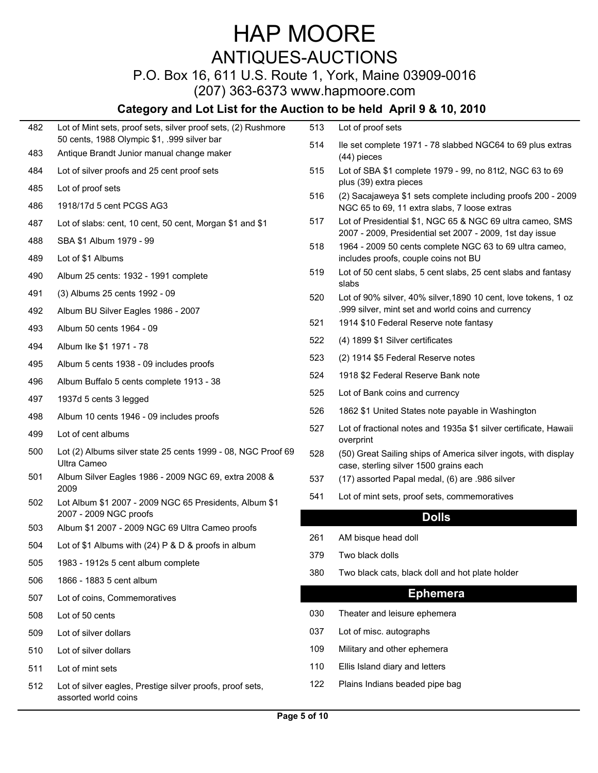## ANTIQUES-AUCTIONS

## P.O. Box 16, 611 U.S. Route 1, York, Maine 03909-0016

(207) 363-6373 www.hapmoore.com

| 482 | Lot of Mint sets, proof sets, silver proof sets, (2) Rushmore                            | 513             | Lot of proof sets                                                                                         |
|-----|------------------------------------------------------------------------------------------|-----------------|-----------------------------------------------------------------------------------------------------------|
| 483 | 50 cents, 1988 Olympic \$1, .999 silver bar<br>Antique Brandt Junior manual change maker | 514             | lle set complete 1971 - 78 slabbed NGC64 to 69 plus extras<br>$(44)$ pieces                               |
| 484 | Lot of silver proofs and 25 cent proof sets                                              | 515             | Lot of SBA \$1 complete 1979 - 99, no 81t2, NGC 63 to 69<br>plus (39) extra pieces                        |
| 485 | Lot of proof sets                                                                        | 516             | (2) Sacajaweya \$1 sets complete including proofs 200 - 2009                                              |
| 486 | 1918/17d 5 cent PCGS AG3                                                                 | 517             | NGC 65 to 69, 11 extra slabs, 7 loose extras<br>Lot of Presidential \$1, NGC 65 & NGC 69 ultra cameo, SMS |
| 487 | Lot of slabs: cent, 10 cent, 50 cent, Morgan \$1 and \$1                                 |                 | 2007 - 2009, Presidential set 2007 - 2009, 1st day issue                                                  |
| 488 | SBA \$1 Album 1979 - 99                                                                  | 518             | 1964 - 2009 50 cents complete NGC 63 to 69 ultra cameo,                                                   |
| 489 | Lot of \$1 Albums                                                                        |                 | includes proofs, couple coins not BU                                                                      |
| 490 | Album 25 cents: 1932 - 1991 complete                                                     | 519             | Lot of 50 cent slabs, 5 cent slabs, 25 cent slabs and fantasy<br>slabs                                    |
| 491 | (3) Albums 25 cents 1992 - 09                                                            | 520             | Lot of 90% silver, 40% silver, 1890 10 cent, love tokens, 1 oz                                            |
| 492 | Album BU Silver Eagles 1986 - 2007                                                       |                 | .999 silver, mint set and world coins and currency                                                        |
| 493 | Album 50 cents 1964 - 09                                                                 | 521             | 1914 \$10 Federal Reserve note fantasy                                                                    |
| 494 | Album Ike \$1 1971 - 78                                                                  | 522             | (4) 1899 \$1 Silver certificates                                                                          |
| 495 | Album 5 cents 1938 - 09 includes proofs                                                  | 523             | (2) 1914 \$5 Federal Reserve notes                                                                        |
| 496 | Album Buffalo 5 cents complete 1913 - 38                                                 | 524             | 1918 \$2 Federal Reserve Bank note                                                                        |
| 497 | 1937d 5 cents 3 legged                                                                   | 525             | Lot of Bank coins and currency                                                                            |
| 498 | Album 10 cents 1946 - 09 includes proofs                                                 | 526             | 1862 \$1 United States note payable in Washington                                                         |
| 499 | Lot of cent albums                                                                       | 527             | Lot of fractional notes and 1935a \$1 silver certificate, Hawaii<br>overprint                             |
| 500 | Lot (2) Albums silver state 25 cents 1999 - 08, NGC Proof 69<br>Ultra Cameo              | 528             | (50) Great Sailing ships of America silver ingots, with display<br>case, sterling silver 1500 grains each |
| 501 | Album Silver Eagles 1986 - 2009 NGC 69, extra 2008 &<br>2009                             | 537             | (17) assorted Papal medal, (6) are .986 silver                                                            |
| 502 | Lot Album \$1 2007 - 2009 NGC 65 Presidents, Album \$1<br>2007 - 2009 NGC proofs         | 54 <sup>°</sup> | Lot of mint sets, proof sets, commemoratives                                                              |
| 503 | Album \$1 2007 - 2009 NGC 69 Ultra Cameo proofs                                          |                 | <b>Dolls</b>                                                                                              |
| 504 | Lot of \$1 Albums with (24) $P$ & $D$ & proofs in album                                  | 261             | AM bisque head doll                                                                                       |
| 505 | 1983 - 1912s 5 cent album complete                                                       | 379             | Two black dolls                                                                                           |
| 506 | 1866 - 1883 5 cent album                                                                 | 380             | Two black cats, black doll and hot plate holder                                                           |
| 507 | Lot of coins, Commemoratives                                                             |                 | <b>Ephemera</b>                                                                                           |
| 508 | Lot of 50 cents                                                                          | 030             | Theater and leisure ephemera                                                                              |
| 509 | Lot of silver dollars                                                                    | 037             | Lot of misc. autographs                                                                                   |
| 510 | Lot of silver dollars                                                                    | 109             | Military and other ephemera                                                                               |
| 511 | Lot of mint sets                                                                         | 110             | Ellis Island diary and letters                                                                            |
| 512 | Lot of silver eagles, Prestige silver proofs, proof sets,<br>assorted world coins        | 122             | Plains Indians beaded pipe bag                                                                            |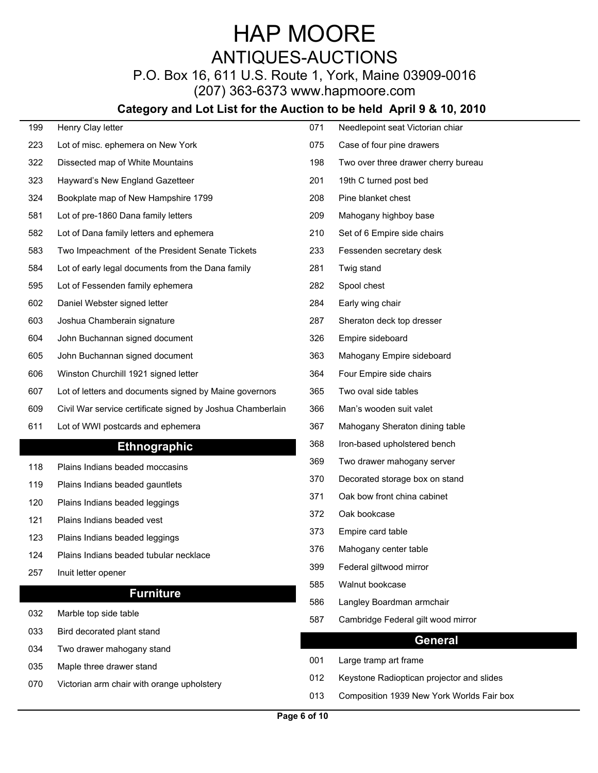## HAP MOORE ANTIQUES-AUCTIONS

## P.O. Box 16, 611 U.S. Route 1, York, Maine 03909-0016

(207) 363-6373 www.hapmoore.com

| 199 | Henry Clay letter                                          |     |                                           |
|-----|------------------------------------------------------------|-----|-------------------------------------------|
|     |                                                            | 071 | Needlepoint seat Victorian chiar          |
| 223 | Lot of misc. ephemera on New York                          | 075 | Case of four pine drawers                 |
| 322 | Dissected map of White Mountains                           | 198 | Two over three drawer cherry bureau       |
| 323 | Hayward's New England Gazetteer                            | 201 | 19th C turned post bed                    |
| 324 | Bookplate map of New Hampshire 1799                        | 208 | Pine blanket chest                        |
| 581 | Lot of pre-1860 Dana family letters                        | 209 | Mahogany highboy base                     |
| 582 | Lot of Dana family letters and ephemera                    | 210 | Set of 6 Empire side chairs               |
| 583 | Two Impeachment of the President Senate Tickets            | 233 | Fessenden secretary desk                  |
| 584 | Lot of early legal documents from the Dana family          | 281 | Twig stand                                |
| 595 | Lot of Fessenden family ephemera                           | 282 | Spool chest                               |
| 602 | Daniel Webster signed letter                               | 284 | Early wing chair                          |
| 603 | Joshua Chamberain signature                                | 287 | Sheraton deck top dresser                 |
| 604 | John Buchannan signed document                             | 326 | Empire sideboard                          |
| 605 | John Buchannan signed document                             | 363 | Mahogany Empire sideboard                 |
| 606 | Winston Churchill 1921 signed letter                       | 364 | Four Empire side chairs                   |
| 607 | Lot of letters and documents signed by Maine governors     | 365 | Two oval side tables                      |
| 609 | Civil War service certificate signed by Joshua Chamberlain | 366 | Man's wooden suit valet                   |
| 611 | Lot of WWI postcards and ephemera                          | 367 | Mahogany Sheraton dining table            |
|     | <b>Ethnographic</b>                                        | 368 | Iron-based upholstered bench              |
| 118 | Plains Indians beaded moccasins                            | 369 | Two drawer mahogany server                |
| 119 | Plains Indians beaded gauntlets                            | 370 | Decorated storage box on stand            |
| 120 | Plains Indians beaded leggings                             | 371 | Oak bow front china cabinet               |
| 121 | Plains Indians beaded vest                                 | 372 | Oak bookcase                              |
| 123 | Plains Indians beaded leggings                             | 373 | Empire card table                         |
| 124 | Plains Indians beaded tubular necklace                     | 376 | Mahogany center table                     |
| 257 | Inuit letter opener                                        | 399 | Federal giltwood mirror                   |
|     |                                                            | 585 | Walnut bookcase                           |
|     | <b>Furniture</b>                                           | 586 | Langley Boardman armchair                 |
| 032 | Marble top side table                                      | 587 | Cambridge Federal gilt wood mirror        |
| 033 | Bird decorated plant stand                                 |     | <b>General</b>                            |
| 034 | Two drawer mahogany stand                                  | 001 | Large tramp art frame                     |
| 035 | Maple three drawer stand                                   | 012 | Keystone Radioptican projector and slides |
| 070 | Victorian arm chair with orange upholstery                 | 013 | Composition 1939 New York Worlds Fair box |
|     |                                                            |     |                                           |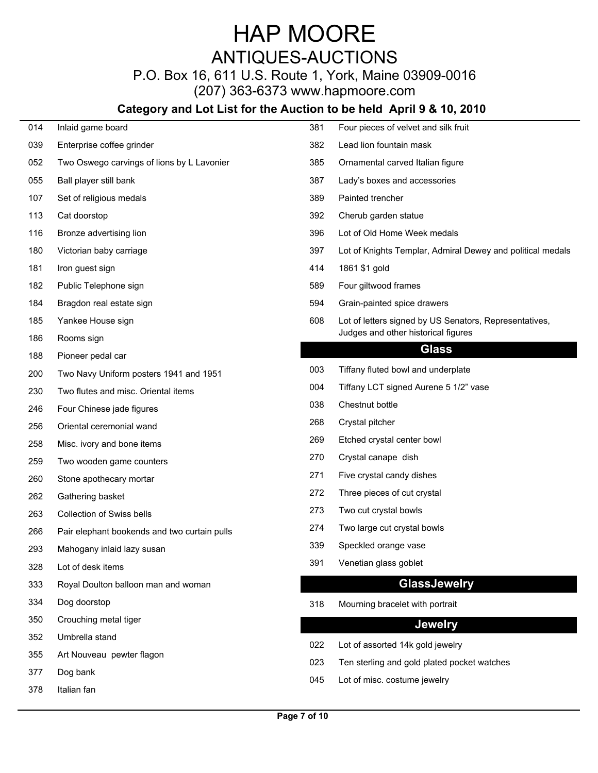## ANTIQUES-AUCTIONS

## P.O. Box 16, 611 U.S. Route 1, York, Maine 03909-0016

(207) 363-6373 www.hapmoore.com

| 014 | Inlaid game board                            | 381 | Four pieces of velvet and silk fruit                       |
|-----|----------------------------------------------|-----|------------------------------------------------------------|
| 039 | Enterprise coffee grinder                    | 382 | Lead lion fountain mask                                    |
| 052 | Two Oswego carvings of lions by L Lavonier   | 385 | Ornamental carved Italian figure                           |
| 055 | Ball player still bank                       | 387 | Lady's boxes and accessories                               |
| 107 | Set of religious medals                      | 389 | Painted trencher                                           |
| 113 | Cat doorstop                                 | 392 | Cherub garden statue                                       |
| 116 | Bronze advertising lion                      | 396 | Lot of Old Home Week medals                                |
| 180 | Victorian baby carriage                      | 397 | Lot of Knights Templar, Admiral Dewey and political medals |
| 181 | Iron guest sign                              | 414 | 1861 \$1 gold                                              |
| 182 | Public Telephone sign                        | 589 | Four giltwood frames                                       |
| 184 | Bragdon real estate sign                     | 594 | Grain-painted spice drawers                                |
| 185 | Yankee House sign                            | 608 | Lot of letters signed by US Senators, Representatives,     |
| 186 | Rooms sign                                   |     | Judges and other historical figures                        |
| 188 | Pioneer pedal car                            |     | <b>Glass</b>                                               |
| 200 | Two Navy Uniform posters 1941 and 1951       | 003 | Tiffany fluted bowl and underplate                         |
| 230 | Two flutes and misc. Oriental items          | 004 | Tiffany LCT signed Aurene 5 1/2" vase                      |
| 246 | Four Chinese jade figures                    | 038 | Chestnut bottle                                            |
| 256 | Oriental ceremonial wand                     | 268 | Crystal pitcher                                            |
| 258 | Misc. ivory and bone items                   | 269 | Etched crystal center bowl                                 |
| 259 | Two wooden game counters                     | 270 | Crystal canape dish                                        |
| 260 | Stone apothecary mortar                      | 271 | Five crystal candy dishes                                  |
| 262 | Gathering basket                             | 272 | Three pieces of cut crystal                                |
| 263 | <b>Collection of Swiss bells</b>             | 273 | Two cut crystal bowls                                      |
| 266 | Pair elephant bookends and two curtain pulls | 274 | Two large cut crystal bowls                                |
| 293 | Mahogany inlaid lazy susan                   | 339 | Speckled orange vase                                       |
| 328 | Lot of desk items                            | 391 | Venetian glass goblet                                      |
| 333 | Royal Doulton balloon man and woman          |     | <b>GlassJewelry</b>                                        |
| 334 | Dog doorstop                                 | 318 | Mourning bracelet with portrait                            |
| 350 | Crouching metal tiger                        |     | <b>Jewelry</b>                                             |
| 352 | Umbrella stand                               |     |                                                            |
| 355 | Art Nouveau pewter flagon                    | 022 | Lot of assorted 14k gold jewelry                           |
| 377 | Dog bank                                     | 023 | Ten sterling and gold plated pocket watches                |
| 378 | Italian fan                                  | 045 | Lot of misc. costume jewelry                               |
|     |                                              |     |                                                            |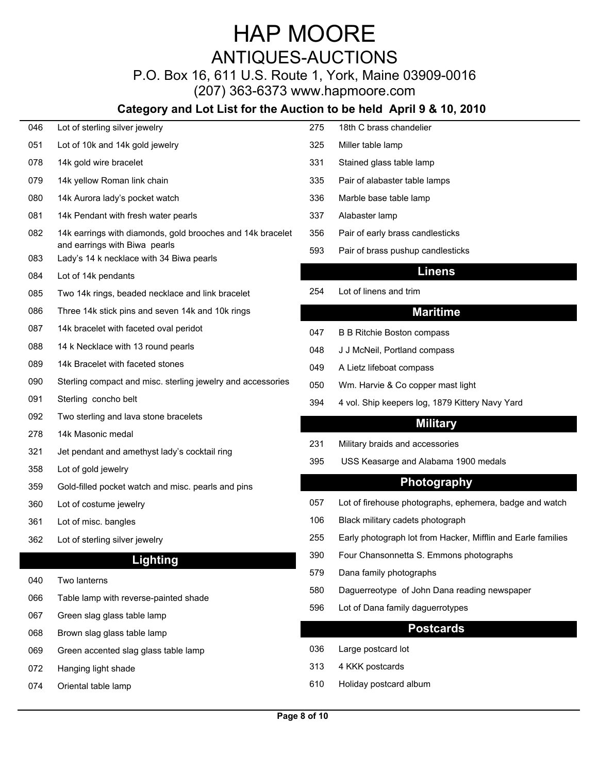## ANTIQUES-AUCTIONS

## P.O. Box 16, 611 U.S. Route 1, York, Maine 03909-0016

(207) 363-6373 www.hapmoore.com

## **Category and Lot List for the Auction to be held April 9 & 10, 2010**

| 046 | Lot of sterling silver jewelry                              | 275  | 18th C brass chandelier                                      |
|-----|-------------------------------------------------------------|------|--------------------------------------------------------------|
| 051 | Lot of 10k and 14k gold jewelry                             | 325  | Miller table lamp                                            |
| 078 | 14k gold wire bracelet                                      | -331 | Stained glass table lamp                                     |
| 079 | 14k yellow Roman link chain                                 | 335  | Pair of alabaster table lamps                                |
| 080 | 14k Aurora lady's pocket watch                              | 336  | Marble base table lamp                                       |
| 081 | 14k Pendant with fresh water pearls                         | 337  | Alabaster lamp                                               |
| 082 | 14k earrings with diamonds, gold brooches and 14k bracelet  | 356  | Pair of early brass candlesticks                             |
|     | and earrings with Biwa pearls                               | 593  | Pair of brass pushup candlesticks                            |
| 083 | Lady's 14 k necklace with 34 Biwa pearls                    |      | <b>Linens</b>                                                |
| 084 | Lot of 14k pendants                                         | 254  | Lot of linens and trim                                       |
| 085 | Two 14k rings, beaded necklace and link bracelet            |      |                                                              |
| 086 | Three 14k stick pins and seven 14k and 10k rings            |      | <b>Maritime</b>                                              |
| 087 | 14k bracelet with faceted oval peridot                      | 047  | <b>B B Ritchie Boston compass</b>                            |
| 880 | 14 k Necklace with 13 round pearls                          | 048  | J J McNeil, Portland compass                                 |
| 089 | 14k Bracelet with faceted stones                            | 049  | A Lietz lifeboat compass                                     |
| 090 | Sterling compact and misc. sterling jewelry and accessories | 050  | Wm. Harvie & Co copper mast light                            |
| 091 | Sterling concho belt                                        | 394  | 4 vol. Ship keepers log, 1879 Kittery Navy Yard              |
| 092 | Two sterling and lava stone bracelets                       |      | <b>Military</b>                                              |
| 278 | 14k Masonic medal                                           | -231 | Military braids and accessories                              |
| 321 | Jet pendant and amethyst lady's cocktail ring               | 395  | USS Keasarge and Alabama 1900 medals                         |
| 358 | Lot of gold jewelry                                         |      |                                                              |
| 359 | Gold-filled pocket watch and misc. pearls and pins          |      | Photography                                                  |
| 360 | Lot of costume jewelry                                      | 057  | Lot of firehouse photographs, ephemera, badge and watch      |
| 361 | Lot of misc. bangles                                        | 106  | Black military cadets photograph                             |
| 362 | Lot of sterling silver jewelry                              | 255  | Early photograph lot from Hacker, Mifflin and Earle families |
|     | <b>Lighting</b>                                             | 390  | Four Chansonnetta S. Emmons photographs                      |
| 040 | Two lanterns                                                | 579  | Dana family photographs                                      |
| 066 | Table lamp with reverse-painted shade                       | 580  | Daguerreotype of John Dana reading newspaper                 |
| 067 | Green slag glass table lamp                                 | 596  | Lot of Dana family daguerrotypes                             |
| 860 | Brown slag glass table lamp                                 |      | <b>Postcards</b>                                             |
| 069 | Green accented slag glass table lamp                        | 036  | Large postcard lot                                           |
|     |                                                             |      |                                                              |

- 072 Hanging light shade 122.000 and 122.000 and 123.000 and 123.000 and 122.000 and 122.000 and 122.000 and 12
- 074 Oriental table lamp 122.00 610 Holiday postcard album 122.00

| 275 | 18th C brass chandelier          |
|-----|----------------------------------|
| 325 | Miller table lamp                |
| 331 | Stained glass table lamp         |
| 335 | Pair of alabaster table lamps    |
| 336 | Marble base table lamp           |
| 337 | Alabaster lamp                   |
| 356 | Pair of early brass candlesticks |

#### **Linens**

#### **Maritime**

- 
- 
- 
- 
- 

#### **Military**

- 231 Military braids and accessories
- 395 USS Keasarge and Alabama 1900 medals

#### **Photography**

- 
- 
- 
- 390 Four Chansonnetta S. Emmons photographs
- 579 Dana family photographs
- 580 Daguerreotype of John Dana reading newspaper
- 596 Lot of Dana family daguerrotypes

#### **Postcards**

- 036 Large postcard lot
- 313 4 KKK postcards 122.000 and 122.000 and 122.000 and 122.000 and 122.000 and 122.000 and 122.000 and 122.000 and 122.000 and 122.000 and 122.000 and 122.000 and 122.000 and 122.000 and 122.000 and 122.000 and 122.000 an
-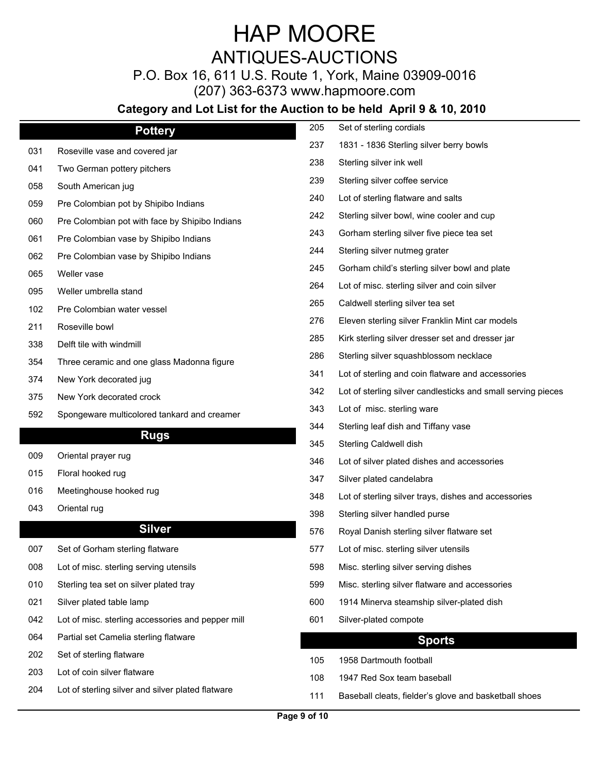## ANTIQUES-AUCTIONS

P.O. Box 16, 611 U.S. Route 1, York, Maine 03909-0016

(207) 363-6373 www.hapmoore.com

|     | <b>Pottery</b>                                    | 205 | Set of sterling cordials                                     |
|-----|---------------------------------------------------|-----|--------------------------------------------------------------|
| 031 | Roseville vase and covered jar                    | 237 | 1831 - 1836 Sterling silver berry bowls                      |
| 041 | Two German pottery pitchers                       | 238 | Sterling silver ink well                                     |
| 058 | South American jug                                | 239 | Sterling silver coffee service                               |
| 059 | Pre Colombian pot by Shipibo Indians              | 240 | Lot of sterling flatware and salts                           |
| 060 | Pre Colombian pot with face by Shipibo Indians    | 242 | Sterling silver bowl, wine cooler and cup                    |
| 061 | Pre Colombian vase by Shipibo Indians             | 243 | Gorham sterling silver five piece tea set                    |
| 062 | Pre Colombian vase by Shipibo Indians             | 244 | Sterling silver nutmeg grater                                |
| 065 | Weller vase                                       | 245 | Gorham child's sterling silver bowl and plate                |
| 095 | Weller umbrella stand                             | 264 | Lot of misc. sterling silver and coin silver                 |
| 102 | Pre Colombian water vessel                        | 265 | Caldwell sterling silver tea set                             |
| 211 | Roseville bowl                                    | 276 | Eleven sterling silver Franklin Mint car models              |
| 338 | Delft tile with windmill                          | 285 | Kirk sterling silver dresser set and dresser jar             |
| 354 | Three ceramic and one glass Madonna figure        | 286 | Sterling silver squashblossom necklace                       |
| 374 | New York decorated jug                            | 341 | Lot of sterling and coin flatware and accessories            |
| 375 | New York decorated crock                          | 342 | Lot of sterling silver candlesticks and small serving pieces |
| 592 | Spongeware multicolored tankard and creamer       | 343 | Lot of misc. sterling ware                                   |
|     |                                                   | 344 | Sterling leaf dish and Tiffany vase                          |
|     | <b>Rugs</b>                                       | 345 | Sterling Caldwell dish                                       |
| 009 | Oriental prayer rug                               | 346 | Lot of silver plated dishes and accessories                  |
| 015 | Floral hooked rug                                 | 347 | Silver plated candelabra                                     |
| 016 | Meetinghouse hooked rug                           | 348 | Lot of sterling silver trays, dishes and accessories         |
| 043 | Oriental rug                                      | 398 | Sterling silver handled purse                                |
|     | <b>Silver</b>                                     | 576 | Royal Danish sterling silver flatware set                    |
| 007 | Set of Gorham sterling flatware                   | 577 | Lot of misc. sterling silver utensils                        |
| 008 | Lot of misc. sterling serving utensils            | 598 | Misc. sterling silver serving dishes                         |
| 010 | Sterling tea set on silver plated tray            | 599 | Misc. sterling silver flatware and accessories               |
| 021 | Silver plated table lamp                          | 600 | 1914 Minerva steamship silver-plated dish                    |
| 042 | Lot of misc. sterling accessories and pepper mill | 601 | Silver-plated compote                                        |
| 064 | Partial set Camelia sterling flatware             |     | <b>Sports</b>                                                |
| 202 | Set of sterling flatware                          |     | 1958 Dartmouth football                                      |
| 203 | Lot of coin silver flatware                       | 105 |                                                              |
| 204 | Lot of sterling silver and silver plated flatware | 108 | 1947 Red Sox team baseball                                   |
|     |                                                   | 111 | Baseball cleats, fielder's glove and basketball shoes        |